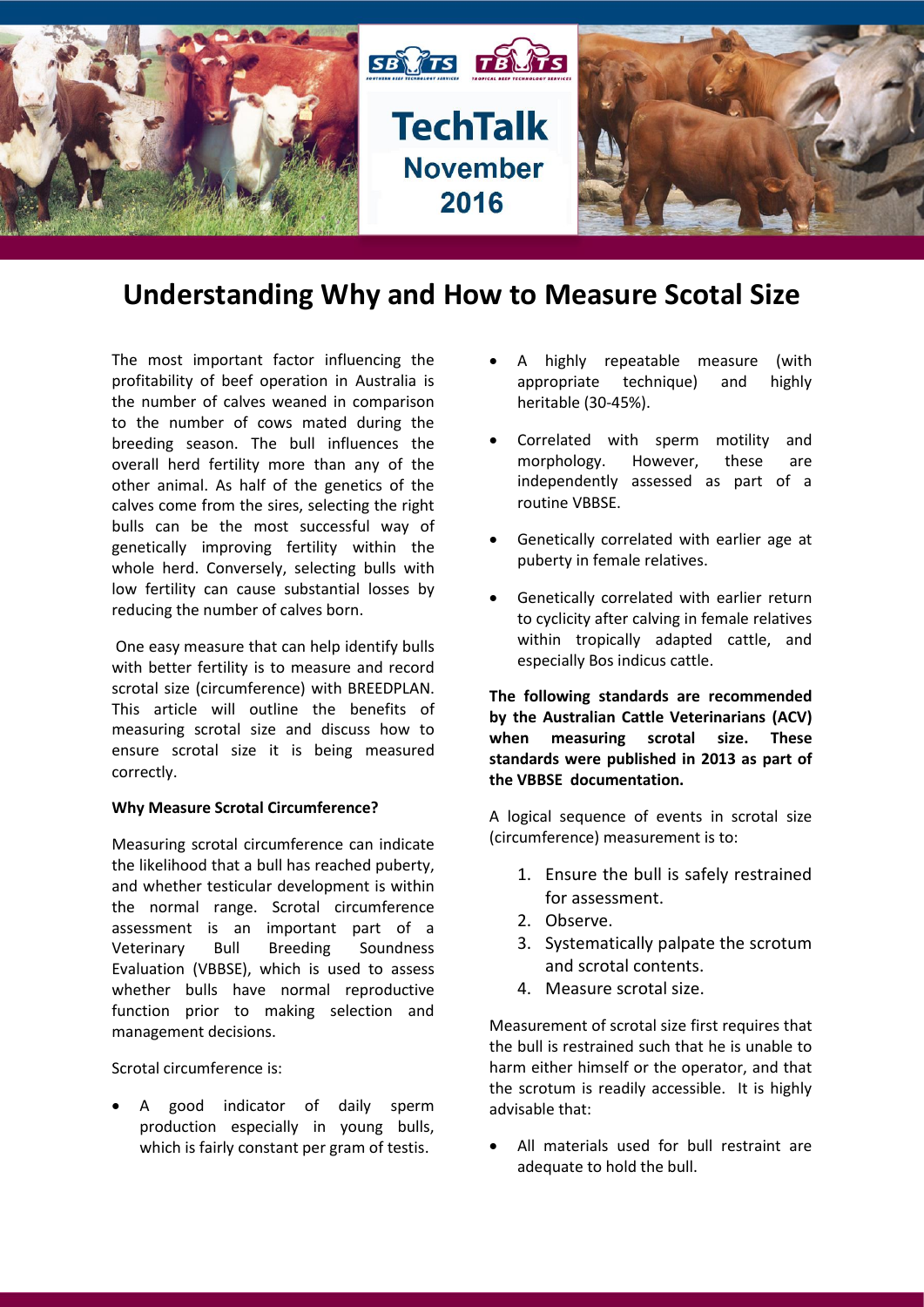

# **Understanding Why and How to Measure Scotal Size**

The most important factor influencing the profitability of beef operation in Australia is the number of calves weaned in comparison to the number of cows mated during the breeding season. The bull influences the overall herd fertility more than any of the other animal. As half of the genetics of the calves come from the sires, selecting the right bulls can be the most successful way of genetically improving fertility within the whole herd. Conversely, selecting bulls with low fertility can cause substantial losses by reducing the number of calves born.

One easy measure that can help identify bulls with better fertility is to measure and record scrotal size (circumference) with BREEDPLAN. This article will outline the benefits of measuring scrotal size and discuss how to ensure scrotal size it is being measured correctly.

## **Why Measure Scrotal Circumference?**

Measuring scrotal circumference can indicate the likelihood that a bull has reached puberty, and whether testicular development is within the normal range. Scrotal circumference assessment is an important part of a Veterinary Bull Breeding Soundness Evaluation (VBBSE), which is used to assess whether bulls have normal reproductive function prior to making selection and management decisions.

Scrotal circumference is:

 A good indicator of daily sperm production especially in young bulls, which is fairly constant per gram of testis.

- A highly repeatable measure (with appropriate technique) and highly heritable (30-45%).
- Correlated with sperm motility and morphology. However, these are independently assessed as part of a routine VBBSE.
- Genetically correlated with earlier age at puberty in female relatives.
- Genetically correlated with earlier return to cyclicity after calving in female relatives within tropically adapted cattle, and especially Bos indicus cattle.

**The following standards are recommended by the Australian Cattle Veterinarians (ACV) when measuring scrotal size. These standards were published in 2013 as part of the VBBSE documentation.**

A logical sequence of events in scrotal size (circumference) measurement is to:

- 1. Ensure the bull is safely restrained for assessment.
- 2. Observe.
- 3. Systematically palpate the scrotum and scrotal contents.
- 4. Measure scrotal size.

Measurement of scrotal size first requires that the bull is restrained such that he is unable to harm either himself or the operator, and that the scrotum is readily accessible. It is highly advisable that:

 All materials used for bull restraint are adequate to hold the bull.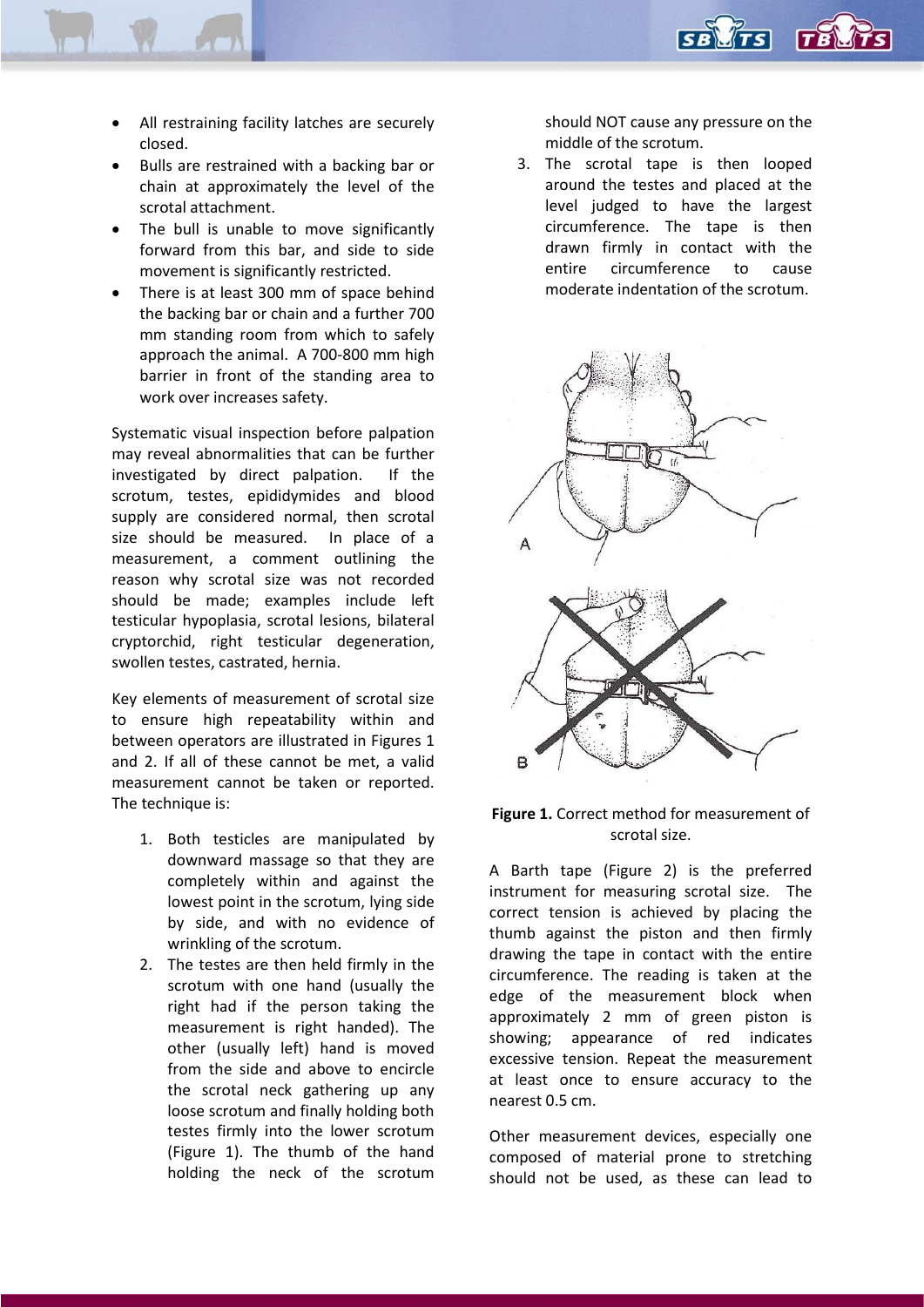

- All restraining facility latches are securely closed.
- Bulls are restrained with a backing bar or chain at approximately the level of the scrotal attachment.
- The bull is unable to move significantly forward from this bar, and side to side movement is significantly restricted.
- There is at least 300 mm of space behind the backing bar or chain and a further 700 mm standing room from which to safely approach the animal. A 700-800 mm high barrier in front of the standing area to work over increases safety.

Systematic visual inspection before palpation may reveal abnormalities that can be further investigated by direct palpation. If the scrotum, testes, epididymides and blood supply are considered normal, then scrotal size should be measured. In place of a measurement, a comment outlining the reason why scrotal size was not recorded should be made; examples include left testicular hypoplasia, scrotal lesions, bilateral cryptorchid, right testicular degeneration, swollen testes, castrated, hernia.

Key elements of measurement of scrotal size to ensure high repeatability within and between operators are illustrated in Figures 1 and 2. If all of these cannot be met, a valid measurement cannot be taken or reported. The technique is:

- 1. Both testicles are manipulated by downward massage so that they are completely within and against the lowest point in the scrotum, lying side by side, and with no evidence of wrinkling of the scrotum.
- 2. The testes are then held firmly in the scrotum with one hand (usually the right had if the person taking the measurement is right handed). The other (usually left) hand is moved from the side and above to encircle the scrotal neck gathering up any loose scrotum and finally holding both testes firmly into the lower scrotum (Figure 1). The thumb of the hand holding the neck of the scrotum

should NOT cause any pressure on the middle of the scrotum.

3. The scrotal tape is then looped around the testes and placed at the level judged to have the largest circumference. The tape is then drawn firmly in contact with the entire circumference to cause moderate indentation of the scrotum.



## **Figure 1.** Correct method for measurement of scrotal size.

A Barth tape (Figure 2) is the preferred instrument for measuring scrotal size. The correct tension is achieved by placing the thumb against the piston and then firmly drawing the tape in contact with the entire circumference. The reading is taken at the edge of the measurement block when approximately 2 mm of green piston is showing; appearance of red indicates excessive tension. Repeat the measurement at least once to ensure accuracy to the nearest 0.5 cm.

Other measurement devices, especially one composed of material prone to stretching should not be used, as these can lead to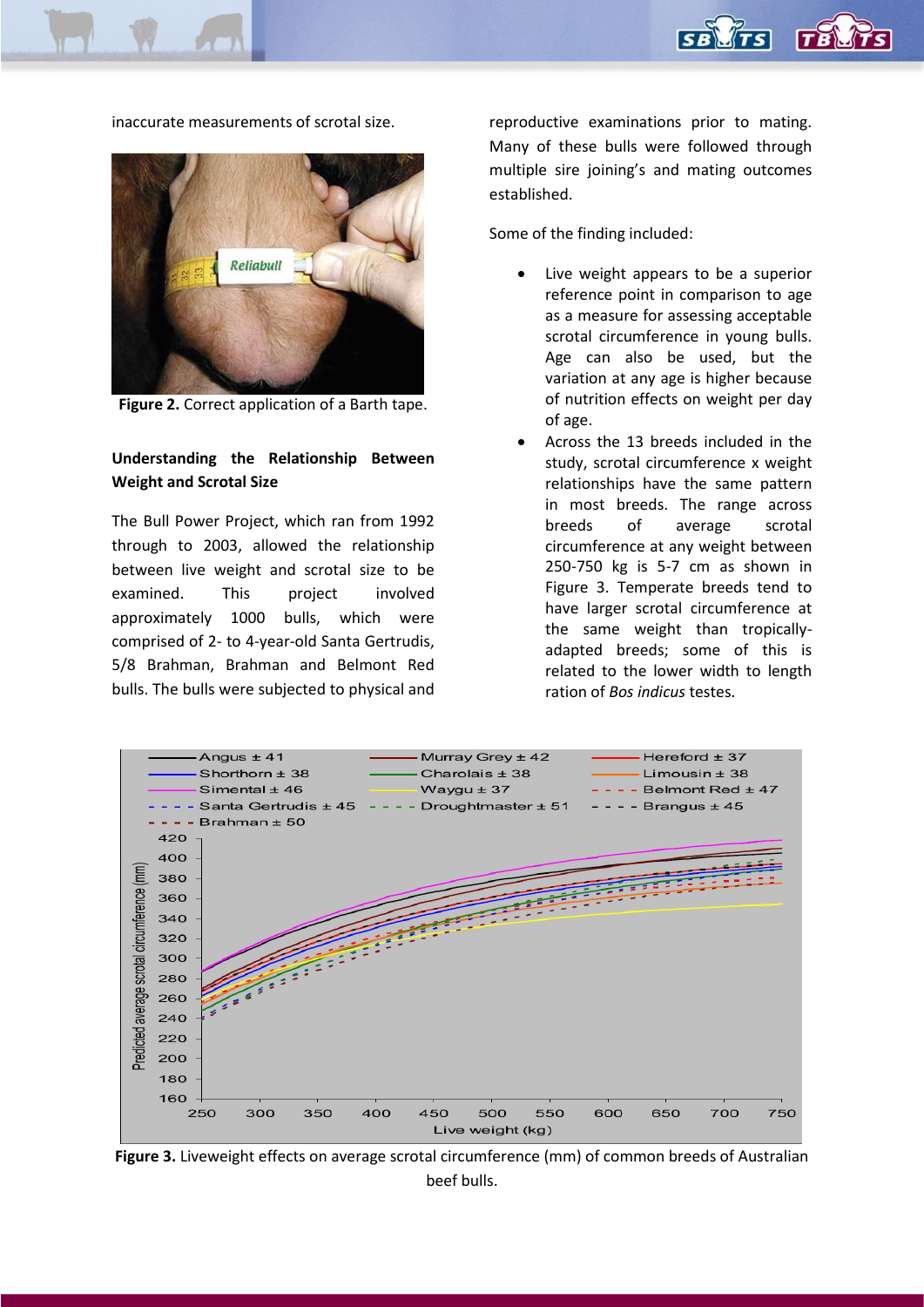

inaccurate measurements of scrotal size.



**Figure 2.** Correct application of a Barth tape.

## **Understanding the Relationship Between Weight and Scrotal Size**

The Bull Power Project, which ran from 1992 through to 2003, allowed the relationship between live weight and scrotal size to be examined. This project involved approximately 1000 bulls, which were comprised of 2- to 4-year-old Santa Gertrudis, 5/8 Brahman, Brahman and Belmont Red bulls. The bulls were subjected to physical and reproductive examinations prior to mating. Many of these bulls were followed through multiple sire joining's and mating outcomes established.

Some of the finding included:

- Live weight appears to be a superior reference point in comparison to age as a measure for assessing acceptable scrotal circumference in young bulls. Age can also be used, but the variation at any age is higher because of nutrition effects on weight per day of age.
- Across the 13 breeds included in the study, scrotal circumference x weight relationships have the same pattern in most breeds. The range across breeds of average scrotal circumference at any weight between 250-750 kg is 5-7 cm as shown in Figure 3. Temperate breeds tend to have larger scrotal circumference at the same weight than tropicallyadapted breeds; some of this is related to the lower width to length ration of *Bos indicus* testes.



**Figure 3.** Liveweight effects on average scrotal circumference (mm) of common breeds of Australian beef bulls.